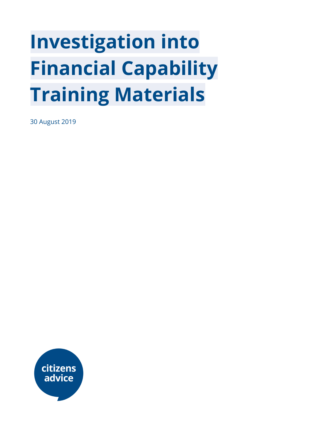# **Investigation into Financial Capability Training Materials**

30 August 2019

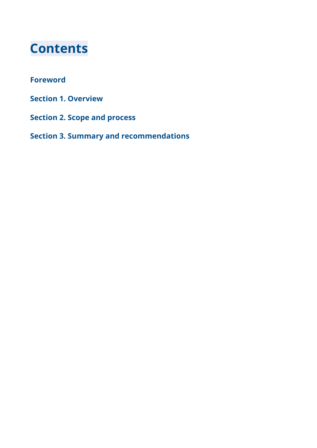## **Contents**

#### **Foreword**

- **Section 1. Overview**
- **Section 2. Scope and process**

**Section 3. Summary and recommendations**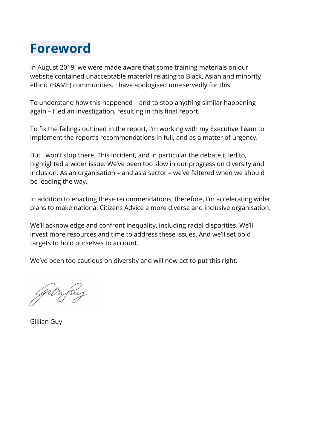# **Foreword**

In August 2019, we were made aware that some training materials on our website contained unacceptable material relating to Black, Asian and minority ethnic (BAME) communities. I have apologised unreservedly for this.

To understand how this happened – and to stop anything similar happening again – I led an investigation, resulting in this final report.

To fix the failings outlined in the report, I'm working with my Executive Team to implement the report's recommendations in full, and as a matter of urgency.

But I won't stop there. This incident, and in particular the debate it led to, highlighted a wider issue. We've been too slow in our progress on diversity and inclusion. As an organisation – and as a sector – we've faltered when we should be leading the way.

In addition to enacting these recommendations, therefore, I'm accelerating wider plans to make national Citizens Advice a more diverse and inclusive organisation.

We'll acknowledge and confront inequality, including racial disparities. We'll invest more resources and time to address these issues. And we'll set bold targets to hold ourselves to account.

We've been too cautious on diversity and will now act to put this right.

Gillian Guy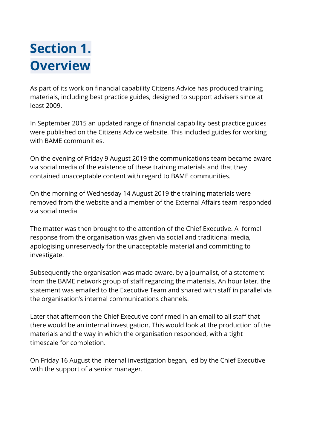# **Section 1. Overview**

As part of its work on financial capability Citizens Advice has produced training materials, including best practice guides, designed to support advisers since at least 2009.

In September 2015 an updated range of financial capability best practice guides were published on the Citizens Advice website. This included guides for working with BAME communities.

On the evening of Friday 9 August 2019 the communications team became aware via social media of the existence of these training materials and that they contained unacceptable content with regard to BAME communities.

On the morning of Wednesday 14 August 2019 the training materials were removed from the website and a member of the External Affairs team responded via social media.

The matter was then brought to the attention of the Chief Executive. A formal response from the organisation was given via social and traditional media, apologising unreservedly for the unacceptable material and committing to investigate.

Subsequently the organisation was made aware, by a journalist, of a statement from the BAME network group of staff regarding the materials. An hour later, the statement was emailed to the Executive Team and shared with staff in parallel via the organisation's internal communications channels.

Later that afternoon the Chief Executive confirmed in an email to all staff that there would be an internal investigation. This would look at the production of the materials and the way in which the organisation responded, with a tight timescale for completion.

On Friday 16 August the internal investigation began, led by the Chief Executive with the support of a senior manager.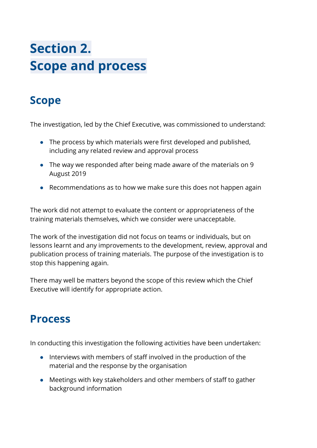# **Section 2. Scope and process**

### **Scope**

The investigation, led by the Chief Executive, was commissioned to understand:

- The process by which materials were first developed and published, including any related review and approval process
- The way we responded after being made aware of the materials on 9 August 2019
- Recommendations as to how we make sure this does not happen again

The work did not attempt to evaluate the content or appropriateness of the training materials themselves, which we consider were unacceptable.

The work of the investigation did not focus on teams or individuals, but on lessons learnt and any improvements to the development, review, approval and publication process of training materials. The purpose of the investigation is to stop this happening again.

There may well be matters beyond the scope of this review which the Chief Executive will identify for appropriate action.

### **Process**

In conducting this investigation the following activities have been undertaken:

- Interviews with members of staff involved in the production of the material and the response by the organisation
- Meetings with key stakeholders and other members of staff to gather background information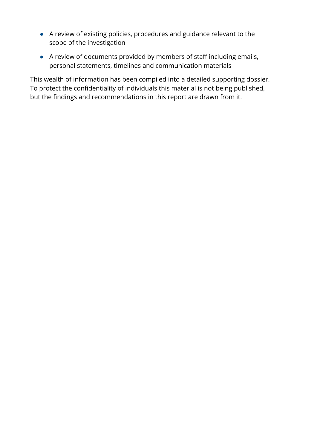- A review of existing policies, procedures and guidance relevant to the scope of the investigation
- A review of documents provided by members of staff including emails, personal statements, timelines and communication materials

This wealth of information has been compiled into a detailed supporting dossier. To protect the confidentiality of individuals this material is not being published, but the findings and recommendations in this report are drawn from it.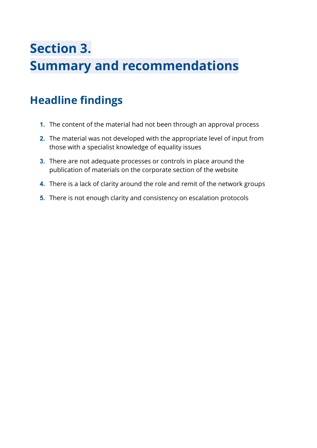# **Section 3. Summary and recommendations**

### **Headline findings**

- **1.** The content of the material had not been through an approval process
- **2.** The material was not developed with the appropriate level of input from those with a specialist knowledge of equality issues
- **3.** There are not adequate processes or controls in place around the publication of materials on the corporate section of the website
- **4.** There is a lack of clarity around the role and remit of the network groups
- **5.** There is not enough clarity and consistency on escalation protocols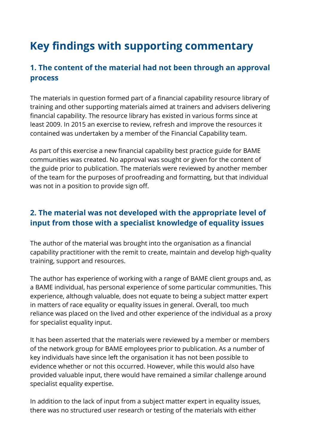### **Key findings with supporting commentary**

#### **1. The content of the material had not been through an approval process**

The materials in question formed part of a financial capability resource library of training and other supporting materials aimed at trainers and advisers delivering financial capability. The resource library has existed in various forms since at least 2009. In 2015 an exercise to review, refresh and improve the resources it contained was undertaken by a member of the Financial Capability team.

As part of this exercise a new financial capability best practice guide for BAME communities was created. No approval was sought or given for the content of the guide prior to publication. The materials were reviewed by another member of the team for the purposes of proofreading and formatting, but that individual was not in a position to provide sign off.

#### **2. The material was not developed with the appropriate level of input from those with a specialist knowledge of equality issues**

The author of the material was brought into the organisation as a financial capability practitioner with the remit to create, maintain and develop high-quality training, support and resources.

The author has experience of working with a range of BAME client groups and, as a BAME individual, has personal experience of some particular communities. This experience, although valuable, does not equate to being a subject matter expert in matters of race equality or equality issues in general. Overall, too much reliance was placed on the lived and other experience of the individual as a proxy for specialist equality input.

It has been asserted that the materials were reviewed by a member or members of the network group for BAME employees prior to publication. As a number of key individuals have since left the organisation it has not been possible to evidence whether or not this occurred. However, while this would also have provided valuable input, there would have remained a similar challenge around specialist equality expertise.

In addition to the lack of input from a subject matter expert in equality issues, there was no structured user research or testing of the materials with either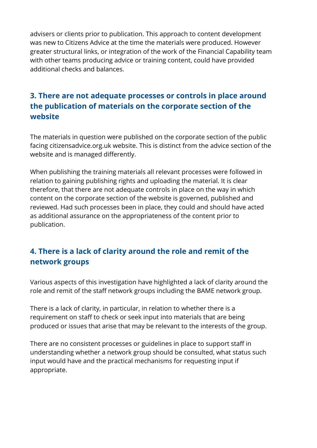advisers or clients prior to publication. This approach to content development was new to Citizens Advice at the time the materials were produced. However greater structural links, or integration of the work of the Financial Capability team with other teams producing advice or training content, could have provided additional checks and balances.

#### **3. There are not adequate processes or controls in place around the publication of materials on the corporate section of the website**

The materials in question were published on the corporate section of the public facing citizensadvice.org.uk website. This is distinct from the advice section of the website and is managed differently.

When publishing the training materials all relevant processes were followed in relation to gaining publishing rights and uploading the material. It is clear therefore, that there are not adequate controls in place on the way in which content on the corporate section of the website is governed, published and reviewed. Had such processes been in place, they could and should have acted as additional assurance on the appropriateness of the content prior to publication.

#### **4. There is a lack of clarity around the role and remit of the network groups**

Various aspects of this investigation have highlighted a lack of clarity around the role and remit of the staff network groups including the BAME network group.

There is a lack of clarity, in particular, in relation to whether there is a requirement on staff to check or seek input into materials that are being produced or issues that arise that may be relevant to the interests of the group.

There are no consistent processes or guidelines in place to support staff in understanding whether a network group should be consulted, what status such input would have and the practical mechanisms for requesting input if appropriate.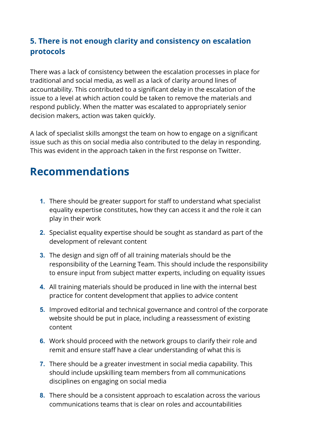#### **5. There is not enough clarity and consistency on escalation protocols**

There was a lack of consistency between the escalation processes in place for traditional and social media, as well as a lack of clarity around lines of accountability. This contributed to a significant delay in the escalation of the issue to a level at which action could be taken to remove the materials and respond publicly. When the matter was escalated to appropriately senior decision makers, action was taken quickly.

A lack of specialist skills amongst the team on how to engage on a significant issue such as this on social media also contributed to the delay in responding. This was evident in the approach taken in the first response on Twitter.

### **Recommendations**

- **1.** There should be greater support for staff to understand what specialist equality expertise constitutes, how they can access it and the role it can play in their work
- **2.** Specialist equality expertise should be sought as standard as part of the development of relevant content
- **3.** The design and sign off of all training materials should be the responsibility of the Learning Team. This should include the responsibility to ensure input from subject matter experts, including on equality issues
- **4.** All training materials should be produced in line with the internal best practice for content development that applies to advice content
- **5.** Improved editorial and technical governance and control of the corporate website should be put in place, including a reassessment of existing content
- **6.** Work should proceed with the network groups to clarify their role and remit and ensure staff have a clear understanding of what this is
- **7.** There should be a greater investment in social media capability. This should include upskilling team members from all communications disciplines on engaging on social media
- **8.** There should be a consistent approach to escalation across the various communications teams that is clear on roles and accountabilities